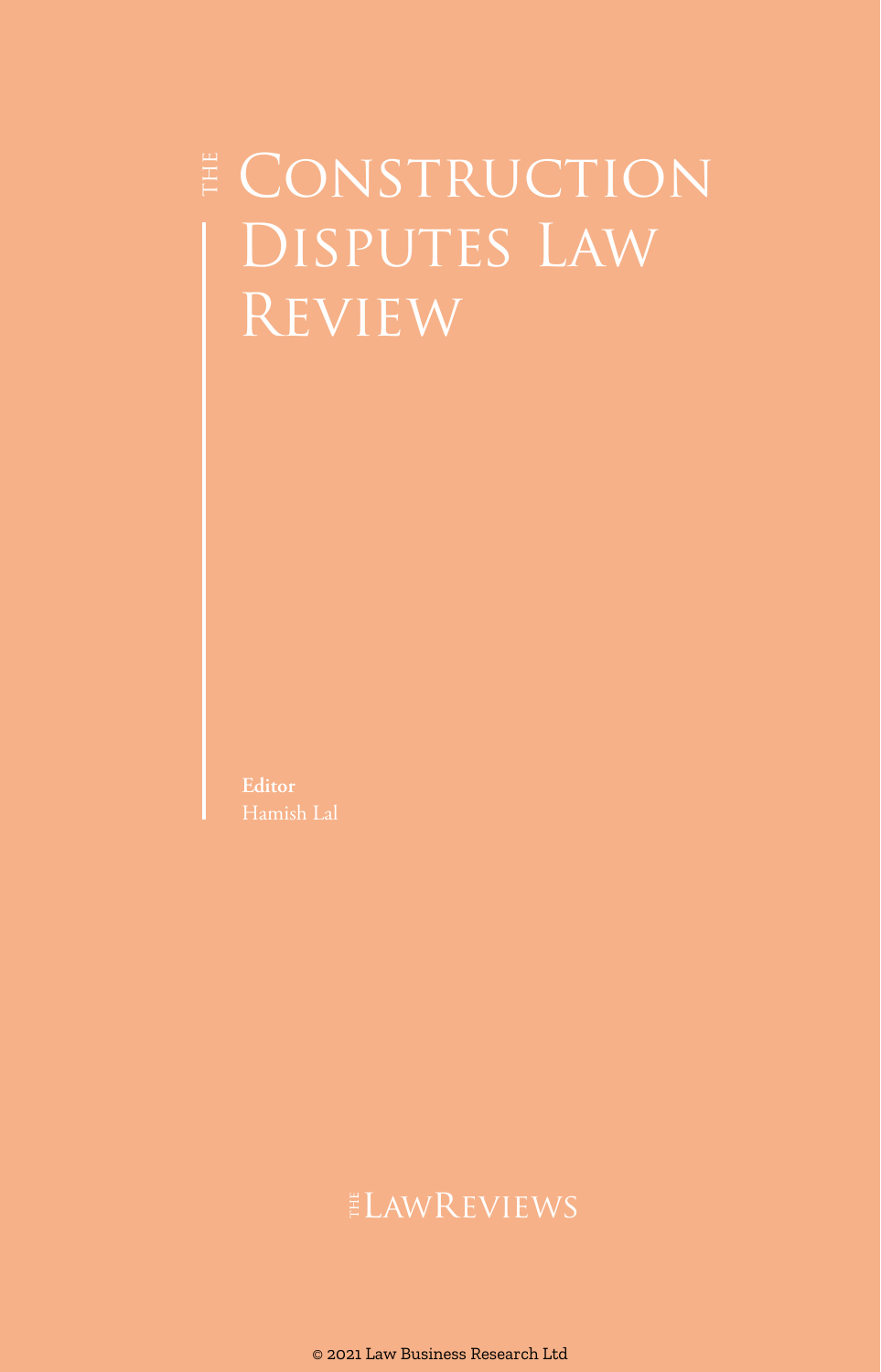# E CONSTRUCTION Disputes Law Review

**Editor** Hamish Lal

### ELAWREVIEWS

© 2021 Law Business Research Ltd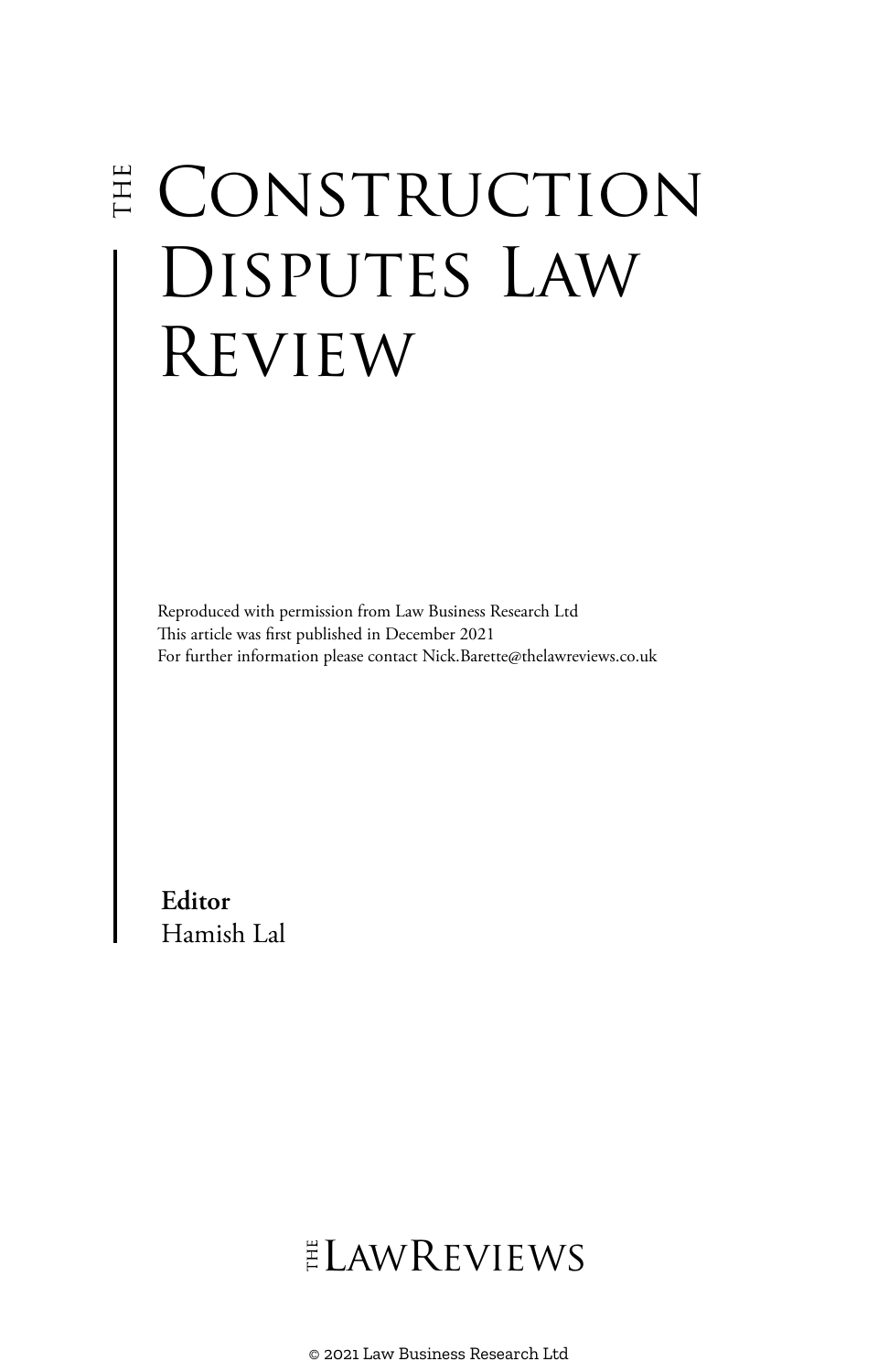# E CONSTRUCTION Disputes Law Review

Reproduced with permission from Law Business Research Ltd This article was first published in December 2021 For further information please contact Nick.Barette@thelawreviews.co.uk

**Editor** Hamish Lal

# ELAWREVIEWS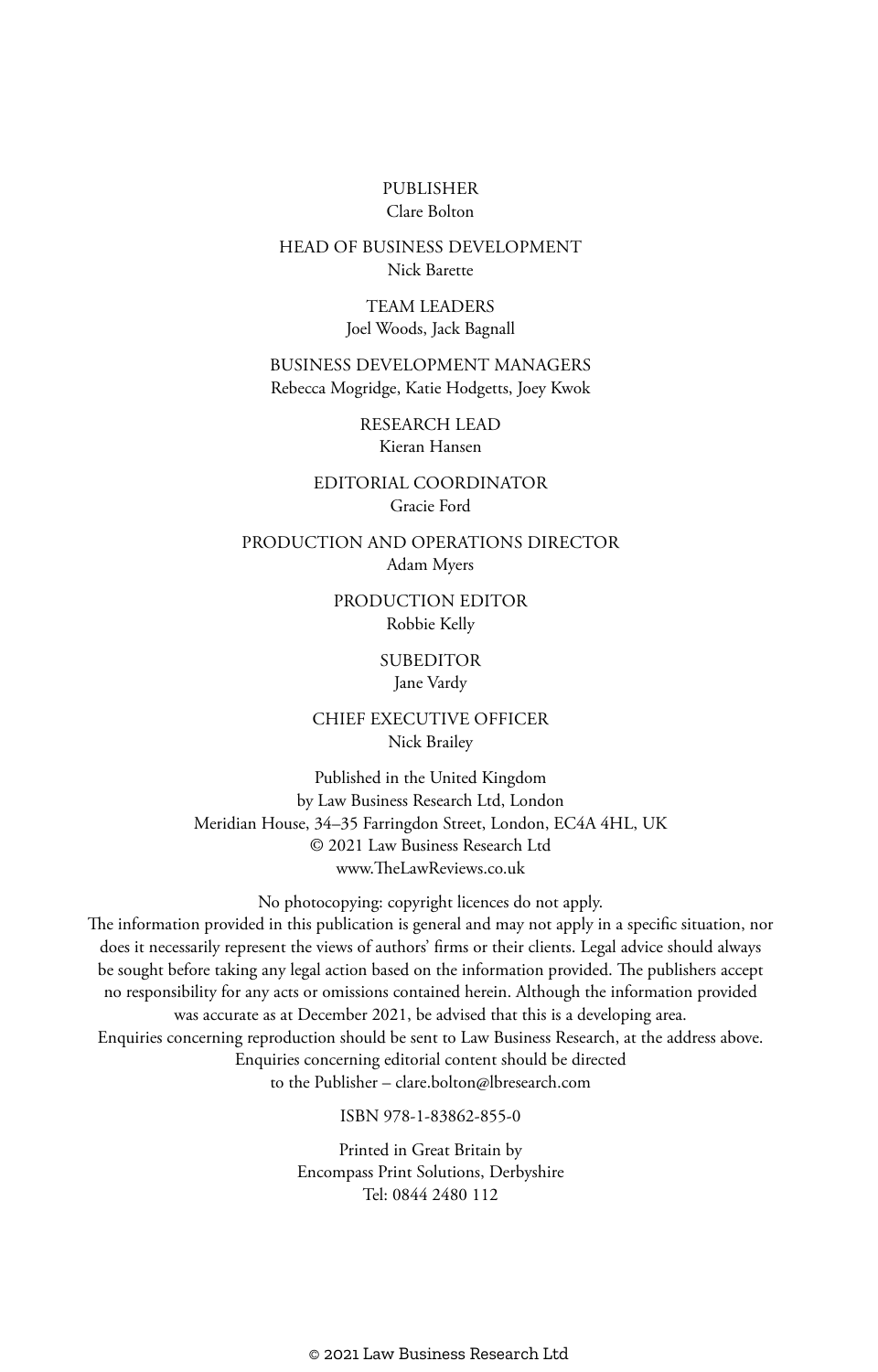#### PUBLISHER Clare Bolton

#### HEAD OF BUSINESS DEVELOPMENT Nick Barette

TEAM LEADERS Joel Woods, Jack Bagnall

BUSINESS DEVELOPMENT MANAGERS Rebecca Mogridge, Katie Hodgetts, Joey Kwok

> RESEARCH LEAD Kieran Hansen

EDITORIAL COORDINATOR Gracie Ford

PRODUCTION AND OPERATIONS DIRECTOR Adam Myers

> PRODUCTION EDITOR Robbie Kelly

> > **SUBEDITOR**

Jane Vardy

CHIEF EXECUTIVE OFFICER Nick Brailey

Published in the United Kingdom by Law Business Research Ltd, London Meridian House, 34–35 Farringdon Street, London, EC4A 4HL, UK © 2021 Law Business Research Ltd www.TheLawReviews.co.uk

No photocopying: copyright licences do not apply. The information provided in this publication is general and may not apply in a specific situation, nor does it necessarily represent the views of authors' firms or their clients. Legal advice should always be sought before taking any legal action based on the information provided. The publishers accept no responsibility for any acts or omissions contained herein. Although the information provided was accurate as at December 2021, be advised that this is a developing area. Enquiries concerning reproduction should be sent to Law Business Research, at the address above. Enquiries concerning editorial content should be directed to the Publisher – clare.bolton@lbresearch.com

ISBN 978-1-83862-855-0

Printed in Great Britain by Encompass Print Solutions, Derbyshire Tel: 0844 2480 112

© 2021 Law Business Research Ltd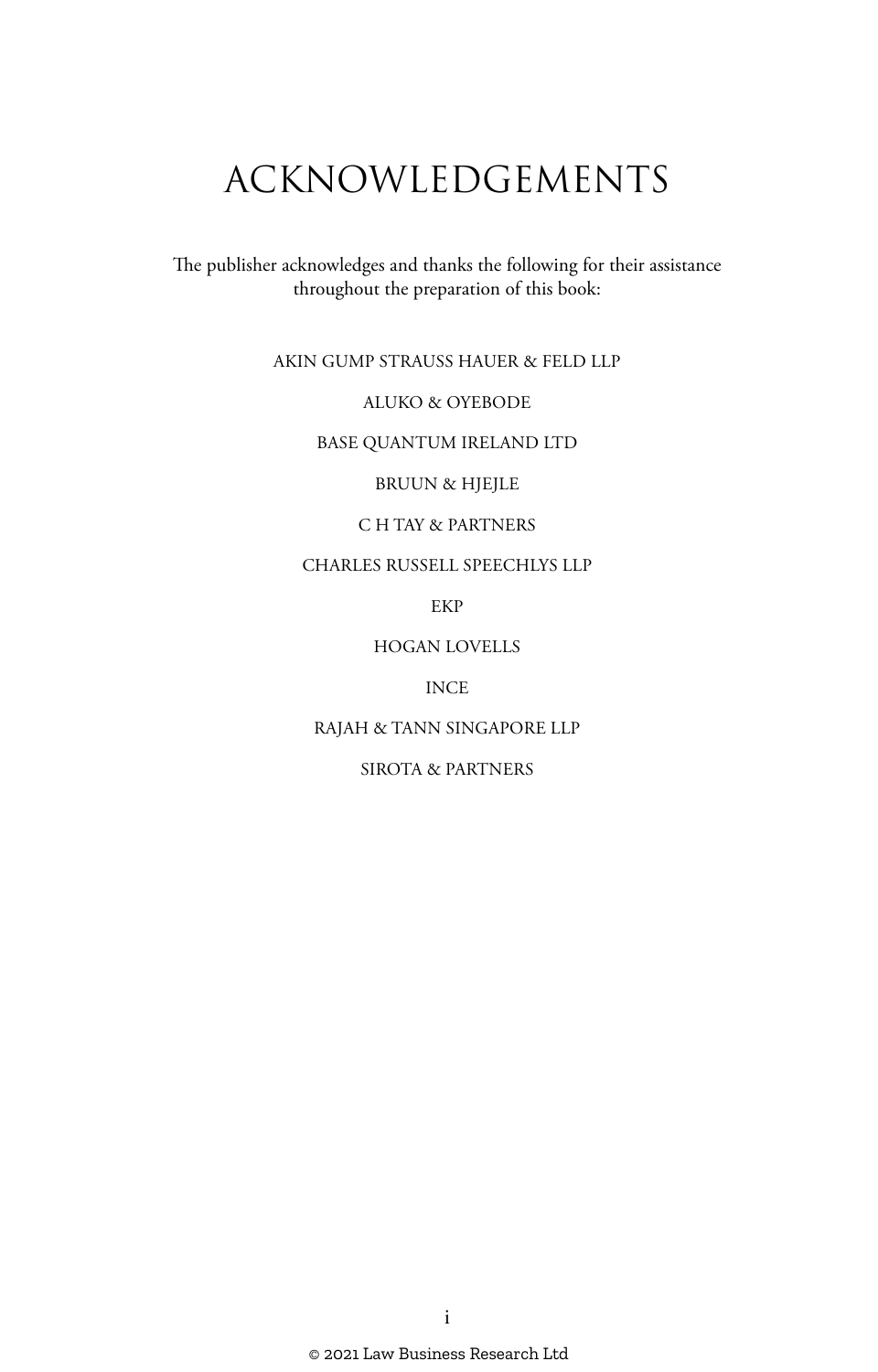# ACKNOWLEDGEMENTS

The publisher acknowledges and thanks the following for their assistance throughout the preparation of this book:

#### AKIN GUMP STRAUSS HAUER & FELD LLP

#### ALUKO & OYEBODE

#### BASE QUANTUM IRELAND LTD

BRUUN & HJEJLE

#### C H TAY & PARTNERS

#### CHARLES RUSSELL SPEECHLYS LLP

EKP

#### HOGAN LOVELLS

#### INCE

#### RAJAH & TANN SINGAPORE LLP

#### SIROTA & PARTNERS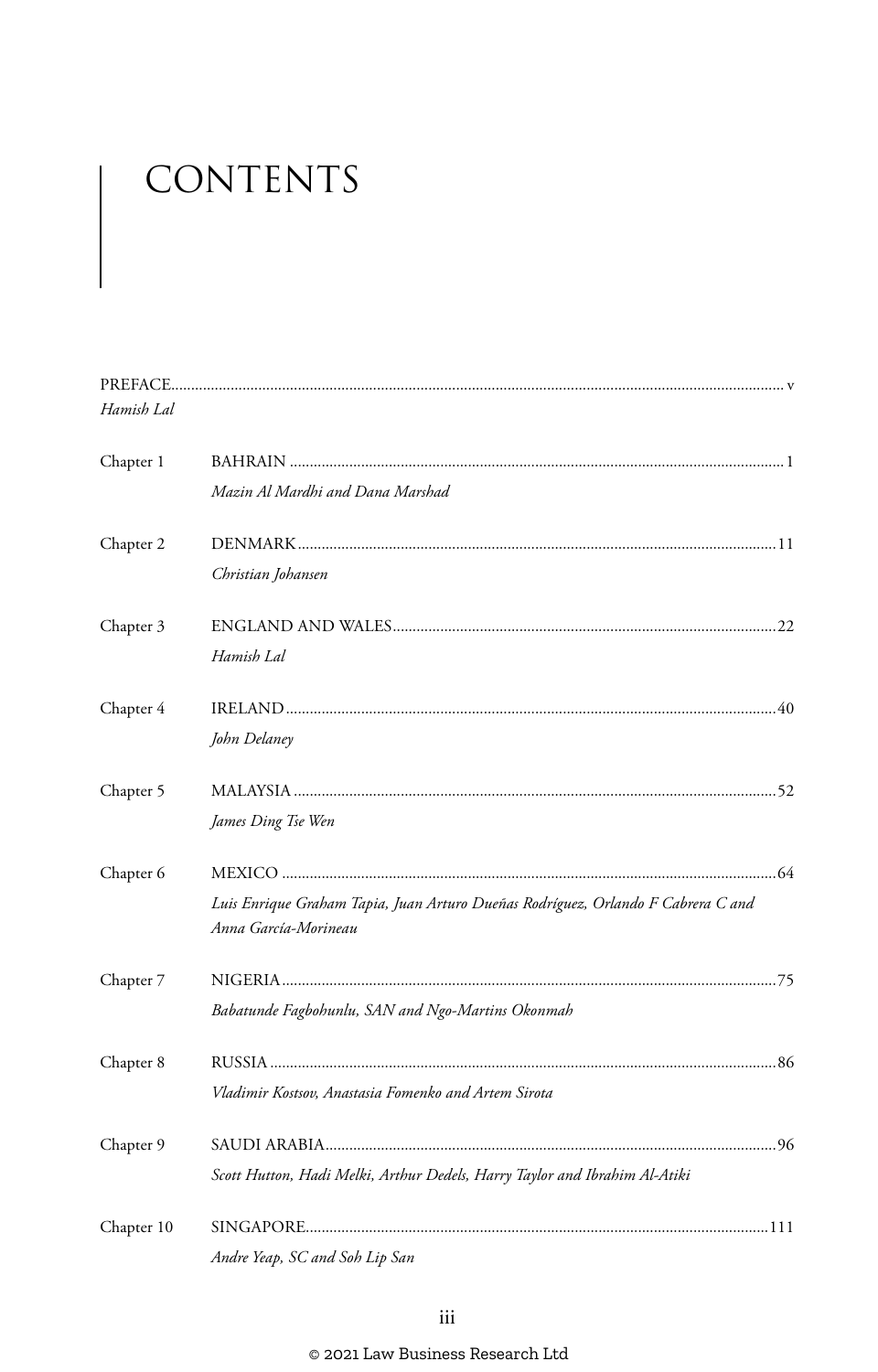# CONTENTS

| Hamish Lal |                                                                                                          |
|------------|----------------------------------------------------------------------------------------------------------|
| Chapter 1  |                                                                                                          |
|            | Mazin Al Mardhi and Dana Marshad                                                                         |
| Chapter 2  |                                                                                                          |
|            | Christian Johansen                                                                                       |
| Chapter 3  |                                                                                                          |
|            | Hamish Lal                                                                                               |
| Chapter 4  |                                                                                                          |
|            | John Delaney                                                                                             |
| Chapter 5  |                                                                                                          |
|            | James Ding Tse Wen                                                                                       |
| Chapter 6  |                                                                                                          |
|            | Luis Enrique Graham Tapia, Juan Arturo Dueñas Rodríguez, Orlando F Cabrera C and<br>Anna García-Morineau |
| Chapter 7  |                                                                                                          |
|            | Babatunde Fagbohunlu, SAN and Ngo-Martins Okonmah                                                        |
| Chapter 8  |                                                                                                          |
|            | Vladimir Kostsov, Anastasia Fomenko and Artem Sirota                                                     |
| Chapter 9  |                                                                                                          |
|            | Scott Hutton, Hadi Melki, Arthur Dedels, Harry Taylor and Ibrahim Al-Atiki                               |
| Chapter 10 |                                                                                                          |
|            | Andre Yeap, SC and Soh Lip San                                                                           |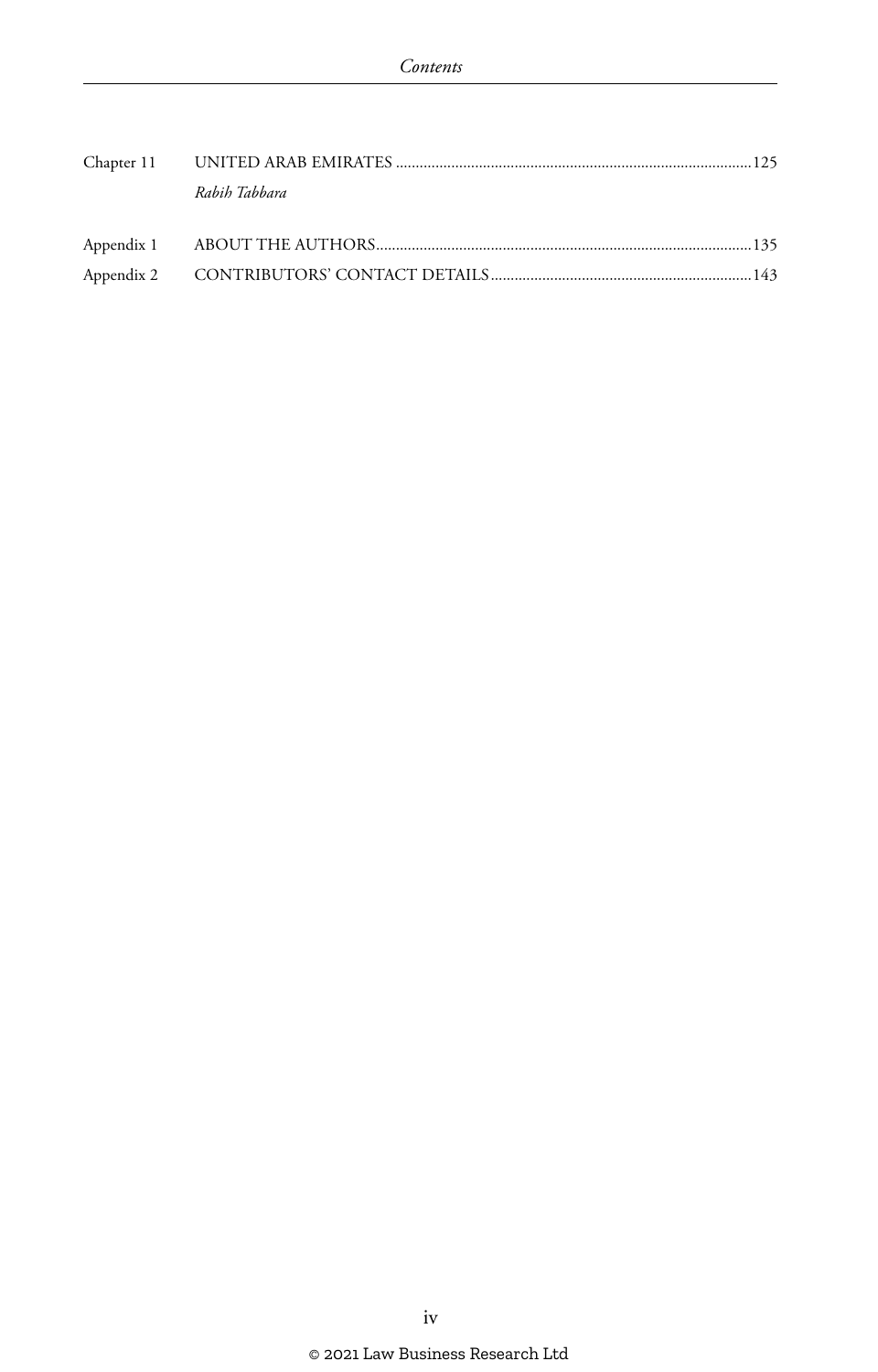| Rabih Tabbara |  |
|---------------|--|
|               |  |
|               |  |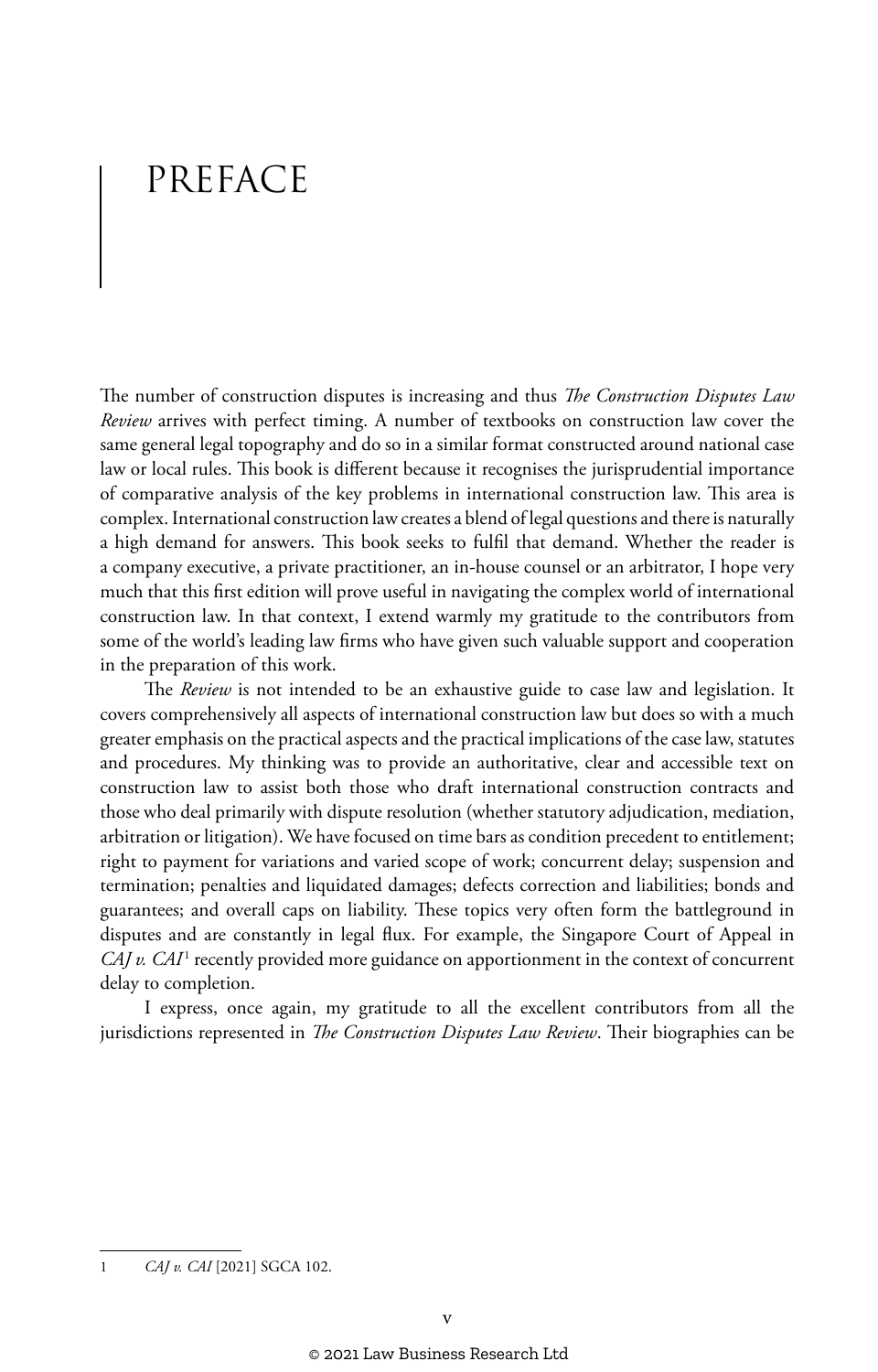## PREFACE

The number of construction disputes is increasing and thus *The Construction Disputes Law Review* arrives with perfect timing. A number of textbooks on construction law cover the same general legal topography and do so in a similar format constructed around national case law or local rules. This book is different because it recognises the jurisprudential importance of comparative analysis of the key problems in international construction law. This area is complex. International construction law creates a blend of legal questions and there is naturally a high demand for answers. This book seeks to fulfil that demand. Whether the reader is a company executive, a private practitioner, an in-house counsel or an arbitrator, I hope very much that this first edition will prove useful in navigating the complex world of international construction law. In that context, I extend warmly my gratitude to the contributors from some of the world's leading law firms who have given such valuable support and cooperation in the preparation of this work.

The *Review* is not intended to be an exhaustive guide to case law and legislation. It covers comprehensively all aspects of international construction law but does so with a much greater emphasis on the practical aspects and the practical implications of the case law, statutes and procedures. My thinking was to provide an authoritative, clear and accessible text on construction law to assist both those who draft international construction contracts and those who deal primarily with dispute resolution (whether statutory adjudication, mediation, arbitration or litigation). We have focused on time bars as condition precedent to entitlement; right to payment for variations and varied scope of work; concurrent delay; suspension and termination; penalties and liquidated damages; defects correction and liabilities; bonds and guarantees; and overall caps on liability. These topics very often form the battleground in disputes and are constantly in legal flux. For example, the Singapore Court of Appeal in *CAJ v. CAI*<sup>1</sup> recently provided more guidance on apportionment in the context of concurrent delay to completion.

I express, once again, my gratitude to all the excellent contributors from all the jurisdictions represented in *The Construction Disputes Law Review*. Their biographies can be

<sup>1</sup> *CAJ v. CAI* [2021] SGCA 102.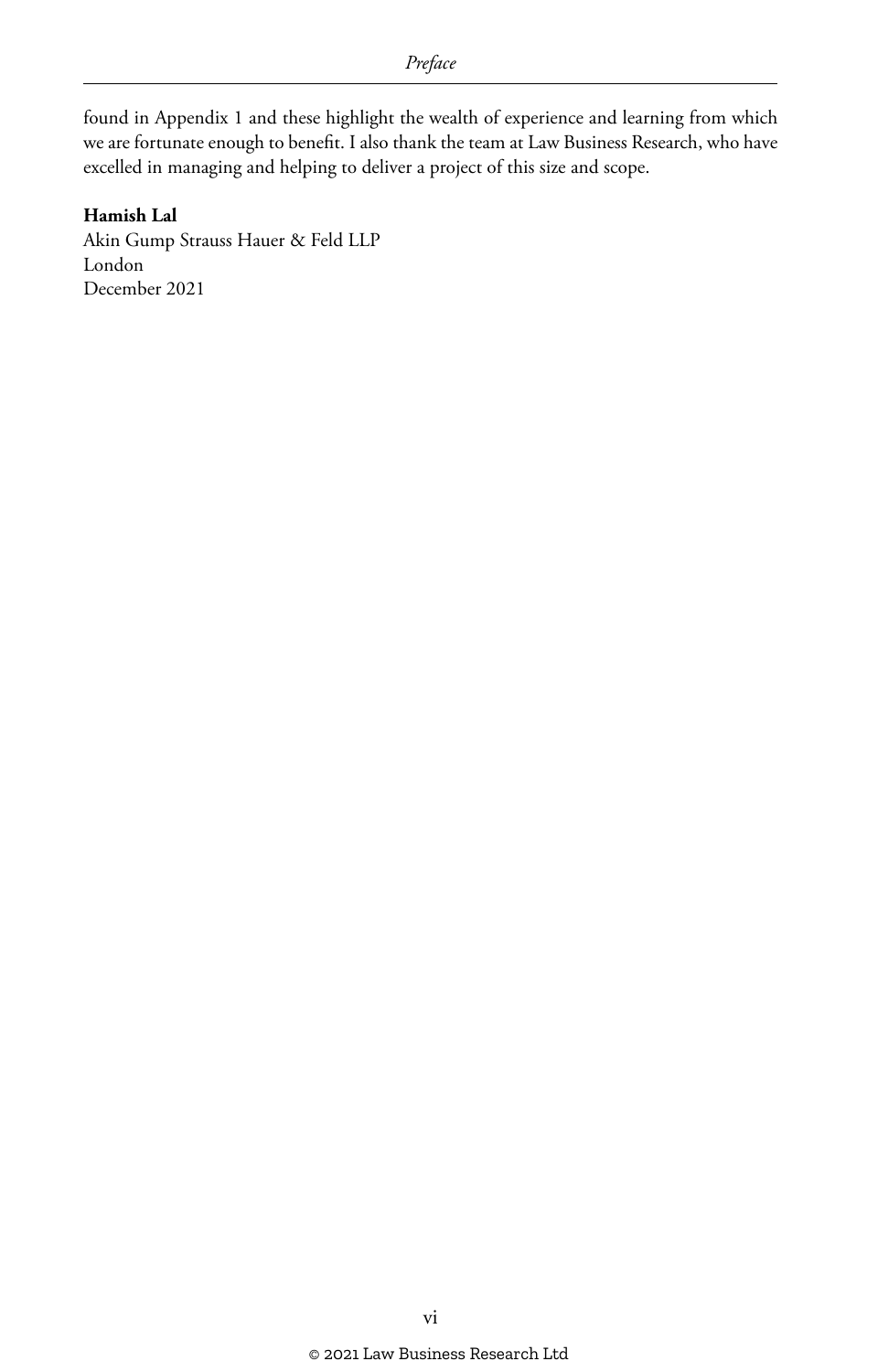found in Appendix 1 and these highlight the wealth of experience and learning from which we are fortunate enough to benefit. I also thank the team at Law Business Research, who have excelled in managing and helping to deliver a project of this size and scope.

#### **Hamish Lal**

Akin Gump Strauss Hauer & Feld LLP London December 2021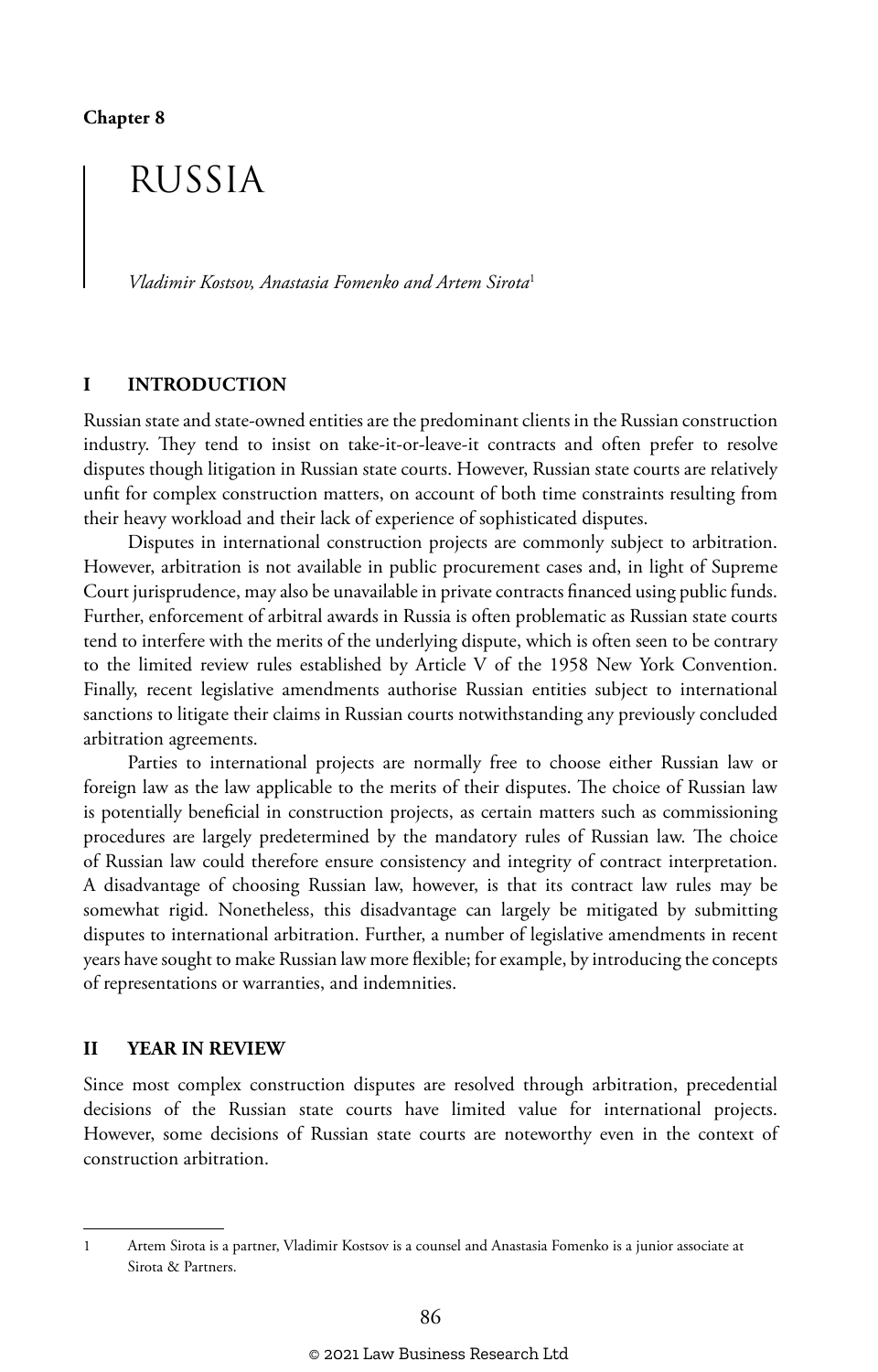## RUSSIA

*Vladimir Kostsov, Anastasia Fomenko and Artem Sirota*<sup>1</sup>

#### **I INTRODUCTION**

Russian state and state-owned entities are the predominant clients in the Russian construction industry. They tend to insist on take-it-or-leave-it contracts and often prefer to resolve disputes though litigation in Russian state courts. However, Russian state courts are relatively unfit for complex construction matters, on account of both time constraints resulting from their heavy workload and their lack of experience of sophisticated disputes.

Disputes in international construction projects are commonly subject to arbitration. However, arbitration is not available in public procurement cases and, in light of Supreme Court jurisprudence, may also be unavailable in private contracts financed using public funds. Further, enforcement of arbitral awards in Russia is often problematic as Russian state courts tend to interfere with the merits of the underlying dispute, which is often seen to be contrary to the limited review rules established by Article V of the 1958 New York Convention. Finally, recent legislative amendments authorise Russian entities subject to international sanctions to litigate their claims in Russian courts notwithstanding any previously concluded arbitration agreements.

Parties to international projects are normally free to choose either Russian law or foreign law as the law applicable to the merits of their disputes. The choice of Russian law is potentially beneficial in construction projects, as certain matters such as commissioning procedures are largely predetermined by the mandatory rules of Russian law. The choice of Russian law could therefore ensure consistency and integrity of contract interpretation. A disadvantage of choosing Russian law, however, is that its contract law rules may be somewhat rigid. Nonetheless, this disadvantage can largely be mitigated by submitting disputes to international arbitration. Further, a number of legislative amendments in recent years have sought to make Russian law more flexible; for example, by introducing the concepts of representations or warranties, and indemnities.

#### **II YEAR IN REVIEW**

Since most complex construction disputes are resolved through arbitration, precedential decisions of the Russian state courts have limited value for international projects. However, some decisions of Russian state courts are noteworthy even in the context of construction arbitration.

<sup>1</sup> Artem Sirota is a partner, Vladimir Kostsov is a counsel and Anastasia Fomenko is a junior associate at Sirota & Partners.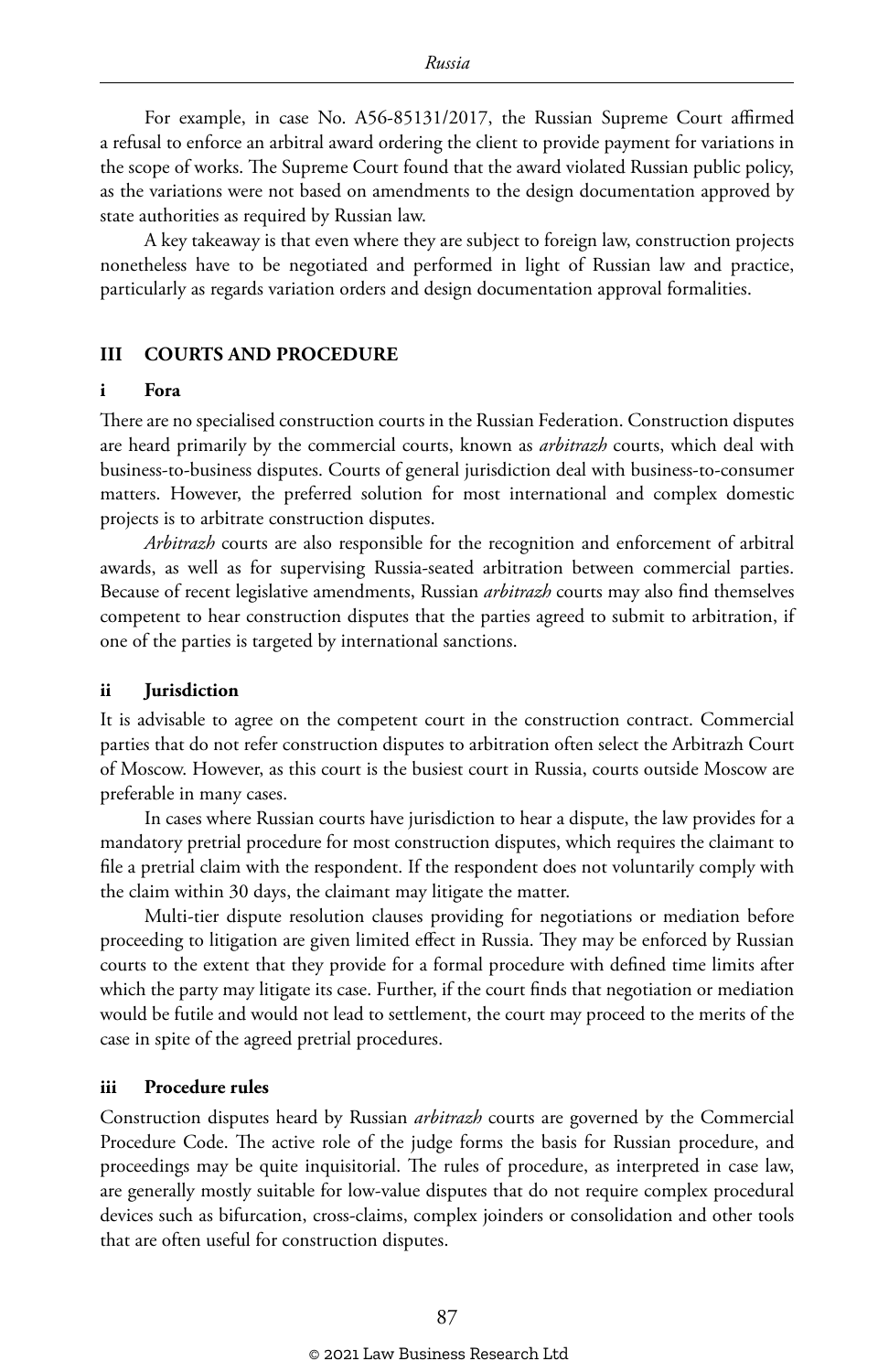For example, in case No. A56-85131/2017, the Russian Supreme Court affirmed a refusal to enforce an arbitral award ordering the client to provide payment for variations in the scope of works. The Supreme Court found that the award violated Russian public policy, as the variations were not based on amendments to the design documentation approved by state authorities as required by Russian law.

A key takeaway is that even where they are subject to foreign law, construction projects nonetheless have to be negotiated and performed in light of Russian law and practice, particularly as regards variation orders and design documentation approval formalities.

#### **III COURTS AND PROCEDURE**

#### **i Fora**

There are no specialised construction courts in the Russian Federation. Construction disputes are heard primarily by the commercial courts, known as *arbitrazh* courts, which deal with business-to-business disputes. Courts of general jurisdiction deal with business-to-consumer matters. However, the preferred solution for most international and complex domestic projects is to arbitrate construction disputes.

*Arbitrazh* courts are also responsible for the recognition and enforcement of arbitral awards, as well as for supervising Russia-seated arbitration between commercial parties. Because of recent legislative amendments, Russian *arbitrazh* courts may also find themselves competent to hear construction disputes that the parties agreed to submit to arbitration, if one of the parties is targeted by international sanctions.

#### **ii Jurisdiction**

It is advisable to agree on the competent court in the construction contract. Commercial parties that do not refer construction disputes to arbitration often select the Arbitrazh Court of Moscow. However, as this court is the busiest court in Russia, courts outside Moscow are preferable in many cases.

In cases where Russian courts have jurisdiction to hear a dispute, the law provides for a mandatory pretrial procedure for most construction disputes, which requires the claimant to file a pretrial claim with the respondent. If the respondent does not voluntarily comply with the claim within 30 days, the claimant may litigate the matter.

Multi-tier dispute resolution clauses providing for negotiations or mediation before proceeding to litigation are given limited effect in Russia. They may be enforced by Russian courts to the extent that they provide for a formal procedure with defined time limits after which the party may litigate its case. Further, if the court finds that negotiation or mediation would be futile and would not lead to settlement, the court may proceed to the merits of the case in spite of the agreed pretrial procedures.

#### **iii Procedure rules**

Construction disputes heard by Russian *arbitrazh* courts are governed by the Commercial Procedure Code. The active role of the judge forms the basis for Russian procedure, and proceedings may be quite inquisitorial. The rules of procedure, as interpreted in case law, are generally mostly suitable for low-value disputes that do not require complex procedural devices such as bifurcation, cross-claims, complex joinders or consolidation and other tools that are often useful for construction disputes.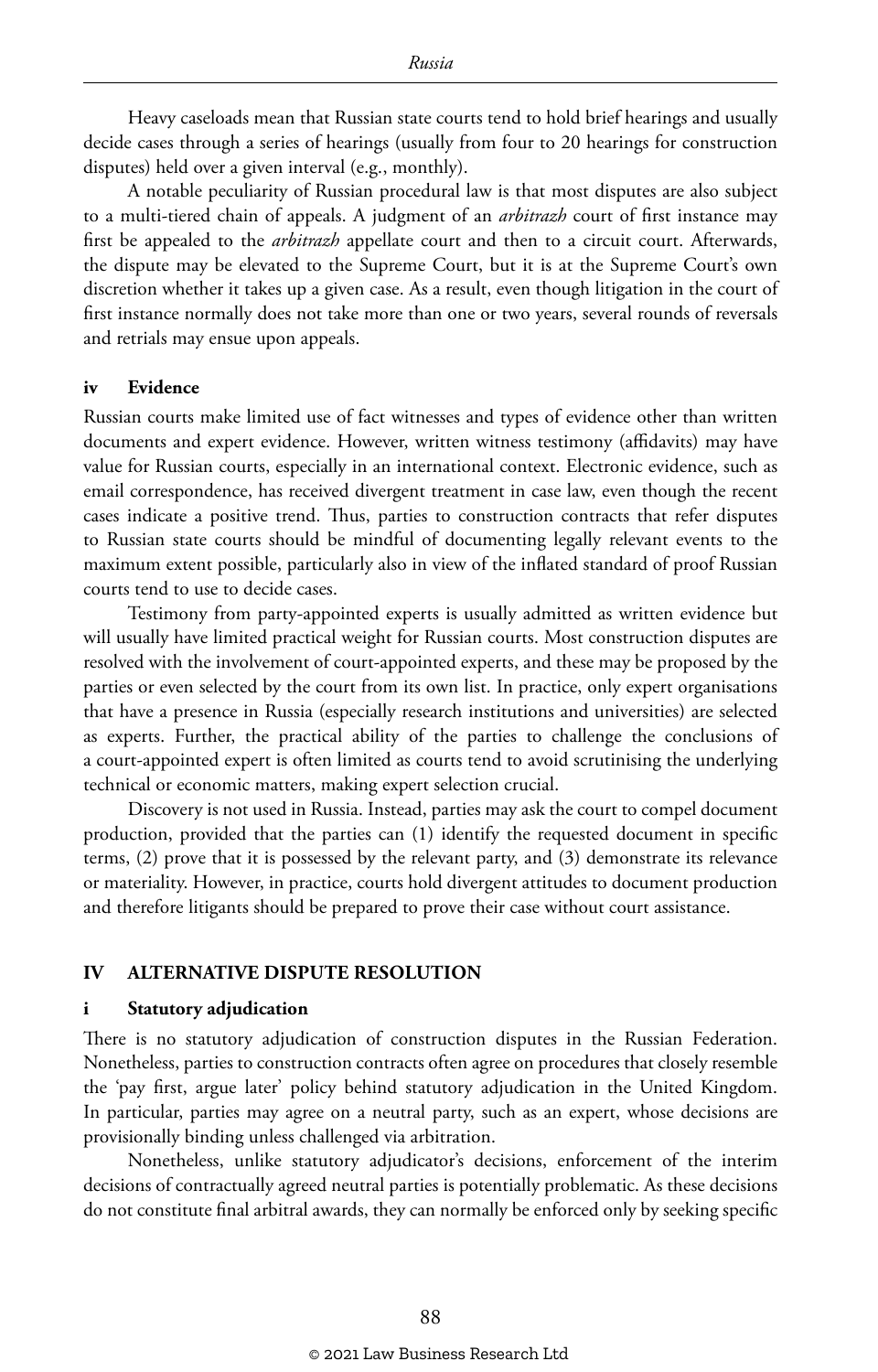Heavy caseloads mean that Russian state courts tend to hold brief hearings and usually decide cases through a series of hearings (usually from four to 20 hearings for construction disputes) held over a given interval (e.g., monthly).

A notable peculiarity of Russian procedural law is that most disputes are also subject to a multi-tiered chain of appeals. A judgment of an *arbitrazh* court of first instance may first be appealed to the *arbitrazh* appellate court and then to a circuit court. Afterwards, the dispute may be elevated to the Supreme Court, but it is at the Supreme Court's own discretion whether it takes up a given case. As a result, even though litigation in the court of first instance normally does not take more than one or two years, several rounds of reversals and retrials may ensue upon appeals.

#### **iv Evidence**

Russian courts make limited use of fact witnesses and types of evidence other than written documents and expert evidence. However, written witness testimony (affidavits) may have value for Russian courts, especially in an international context. Electronic evidence, such as email correspondence, has received divergent treatment in case law, even though the recent cases indicate a positive trend. Thus, parties to construction contracts that refer disputes to Russian state courts should be mindful of documenting legally relevant events to the maximum extent possible, particularly also in view of the inflated standard of proof Russian courts tend to use to decide cases.

Testimony from party-appointed experts is usually admitted as written evidence but will usually have limited practical weight for Russian courts. Most construction disputes are resolved with the involvement of court-appointed experts, and these may be proposed by the parties or even selected by the court from its own list. In practice, only expert organisations that have a presence in Russia (especially research institutions and universities) are selected as experts. Further, the practical ability of the parties to challenge the conclusions of a court-appointed expert is often limited as courts tend to avoid scrutinising the underlying technical or economic matters, making expert selection crucial.

Discovery is not used in Russia. Instead, parties may ask the court to compel document production, provided that the parties can (1) identify the requested document in specific terms, (2) prove that it is possessed by the relevant party, and (3) demonstrate its relevance or materiality. However, in practice, courts hold divergent attitudes to document production and therefore litigants should be prepared to prove their case without court assistance.

#### **IV ALTERNATIVE DISPUTE RESOLUTION**

#### **i Statutory adjudication**

There is no statutory adjudication of construction disputes in the Russian Federation. Nonetheless, parties to construction contracts often agree on procedures that closely resemble the 'pay first, argue later' policy behind statutory adjudication in the United Kingdom. In particular, parties may agree on a neutral party, such as an expert, whose decisions are provisionally binding unless challenged via arbitration.

Nonetheless, unlike statutory adjudicator's decisions, enforcement of the interim decisions of contractually agreed neutral parties is potentially problematic. As these decisions do not constitute final arbitral awards, they can normally be enforced only by seeking specific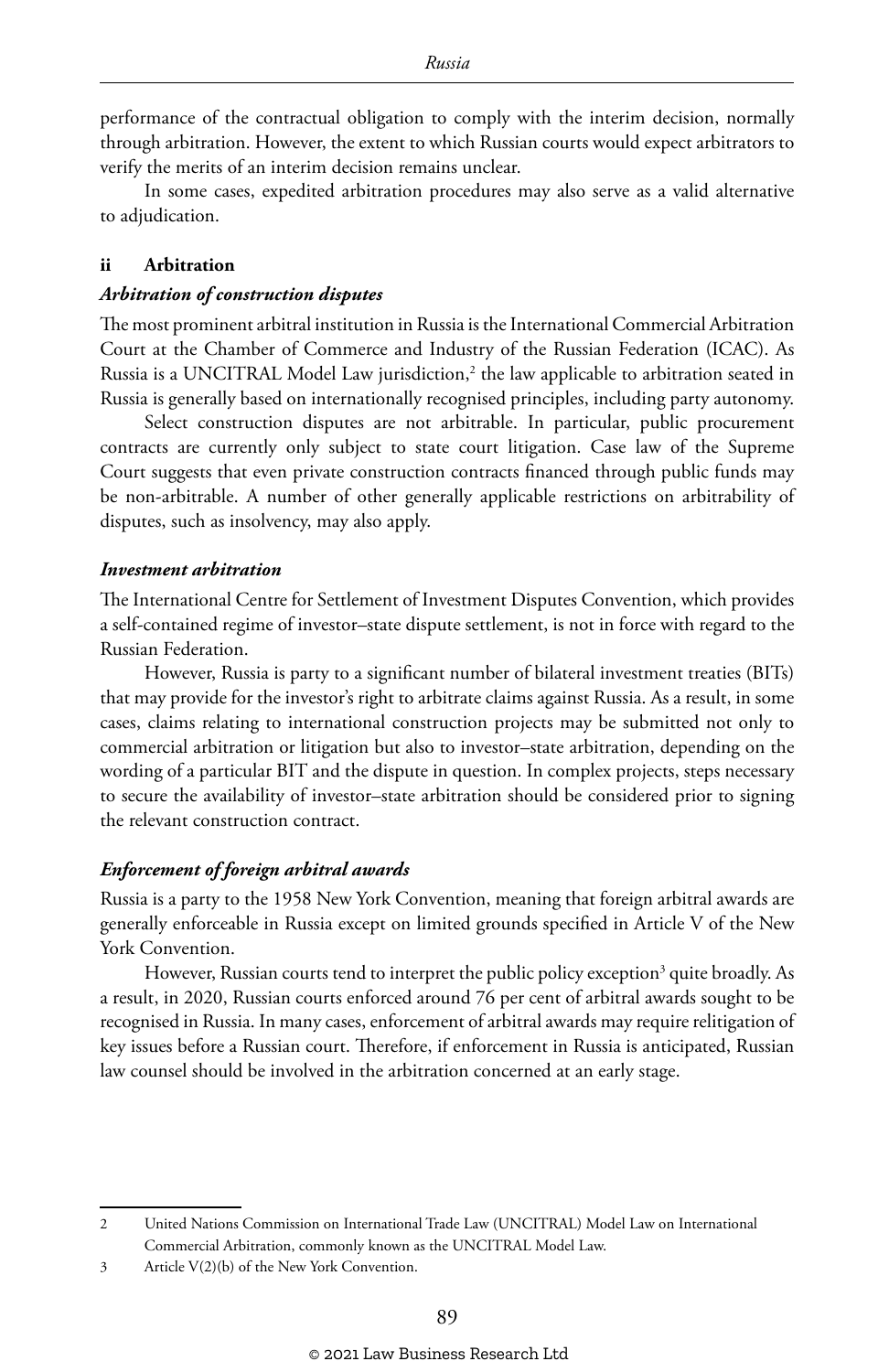performance of the contractual obligation to comply with the interim decision, normally through arbitration. However, the extent to which Russian courts would expect arbitrators to verify the merits of an interim decision remains unclear.

In some cases, expedited arbitration procedures may also serve as a valid alternative to adjudication.

#### **ii Arbitration**

#### *Arbitration of construction disputes*

The most prominent arbitral institution in Russia is the International Commercial Arbitration Court at the Chamber of Commerce and Industry of the Russian Federation (ICAC). As Russia is a UNCITRAL Model Law jurisdiction,2 the law applicable to arbitration seated in Russia is generally based on internationally recognised principles, including party autonomy.

Select construction disputes are not arbitrable. In particular, public procurement contracts are currently only subject to state court litigation. Case law of the Supreme Court suggests that even private construction contracts financed through public funds may be non-arbitrable. A number of other generally applicable restrictions on arbitrability of disputes, such as insolvency, may also apply.

#### *Investment arbitration*

The International Centre for Settlement of Investment Disputes Convention, which provides a self-contained regime of investor–state dispute settlement, is not in force with regard to the Russian Federation.

However, Russia is party to a significant number of bilateral investment treaties (BITs) that may provide for the investor's right to arbitrate claims against Russia. As a result, in some cases, claims relating to international construction projects may be submitted not only to commercial arbitration or litigation but also to investor–state arbitration, depending on the wording of a particular BIT and the dispute in question. In complex projects, steps necessary to secure the availability of investor–state arbitration should be considered prior to signing the relevant construction contract.

#### *Enforcement of foreign arbitral awards*

Russia is a party to the 1958 New York Convention, meaning that foreign arbitral awards are generally enforceable in Russia except on limited grounds specified in Article V of the New York Convention.

However, Russian courts tend to interpret the public policy exception<sup>3</sup> quite broadly. As a result, in 2020, Russian courts enforced around 76 per cent of arbitral awards sought to be recognised in Russia. In many cases, enforcement of arbitral awards may require relitigation of key issues before a Russian court. Therefore, if enforcement in Russia is anticipated, Russian law counsel should be involved in the arbitration concerned at an early stage.

<sup>2</sup> United Nations Commission on International Trade Law (UNCITRAL) Model Law on International Commercial Arbitration, commonly known as the UNCITRAL Model Law.

<sup>3</sup> Article V(2)(b) of the New York Convention.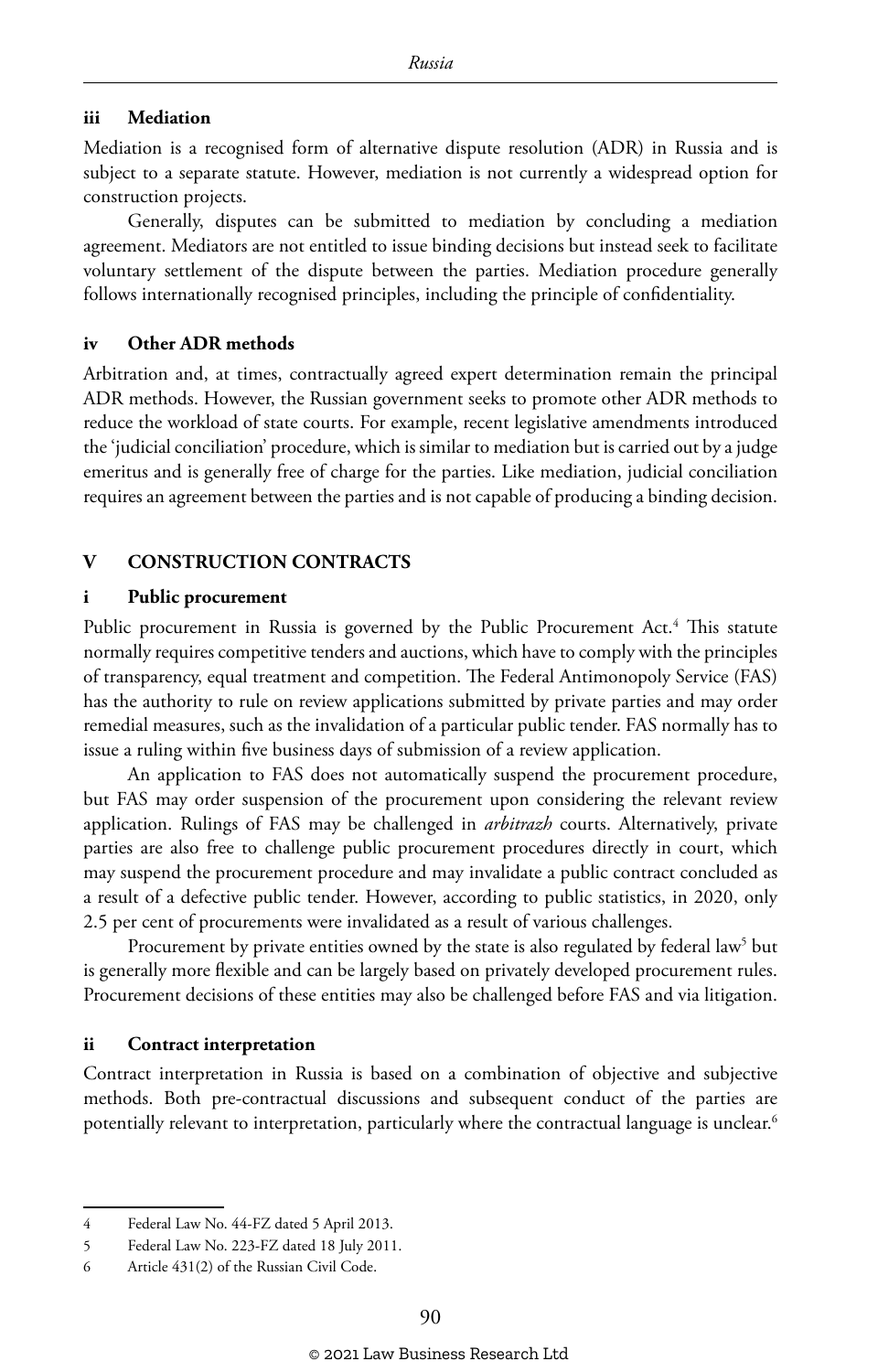#### **iii Mediation**

Mediation is a recognised form of alternative dispute resolution (ADR) in Russia and is subject to a separate statute. However, mediation is not currently a widespread option for construction projects.

Generally, disputes can be submitted to mediation by concluding a mediation agreement. Mediators are not entitled to issue binding decisions but instead seek to facilitate voluntary settlement of the dispute between the parties. Mediation procedure generally follows internationally recognised principles, including the principle of confidentiality.

#### **iv Other ADR methods**

Arbitration and, at times, contractually agreed expert determination remain the principal ADR methods. However, the Russian government seeks to promote other ADR methods to reduce the workload of state courts. For example, recent legislative amendments introduced the 'judicial conciliation' procedure, which is similar to mediation but is carried out by a judge emeritus and is generally free of charge for the parties. Like mediation, judicial conciliation requires an agreement between the parties and is not capable of producing a binding decision.

#### **V CONSTRUCTION CONTRACTS**

#### **i Public procurement**

Public procurement in Russia is governed by the Public Procurement Act.<sup>4</sup> This statute normally requires competitive tenders and auctions, which have to comply with the principles of transparency, equal treatment and competition. The Federal Antimonopoly Service (FAS) has the authority to rule on review applications submitted by private parties and may order remedial measures, such as the invalidation of a particular public tender. FAS normally has to issue a ruling within five business days of submission of a review application.

An application to FAS does not automatically suspend the procurement procedure, but FAS may order suspension of the procurement upon considering the relevant review application. Rulings of FAS may be challenged in *arbitrazh* courts. Alternatively, private parties are also free to challenge public procurement procedures directly in court, which may suspend the procurement procedure and may invalidate a public contract concluded as a result of a defective public tender. However, according to public statistics, in 2020, only 2.5 per cent of procurements were invalidated as a result of various challenges.

Procurement by private entities owned by the state is also regulated by federal law<sup>5</sup> but is generally more flexible and can be largely based on privately developed procurement rules. Procurement decisions of these entities may also be challenged before FAS and via litigation.

#### **ii Contract interpretation**

Contract interpretation in Russia is based on a combination of objective and subjective methods. Both pre-contractual discussions and subsequent conduct of the parties are potentially relevant to interpretation, particularly where the contractual language is unclear.6

<sup>4</sup> Federal Law No. 44-FZ dated 5 April 2013.

<sup>5</sup> Federal Law No. 223-FZ dated 18 July 2011.

<sup>6</sup> Article 431(2) of the Russian Civil Code.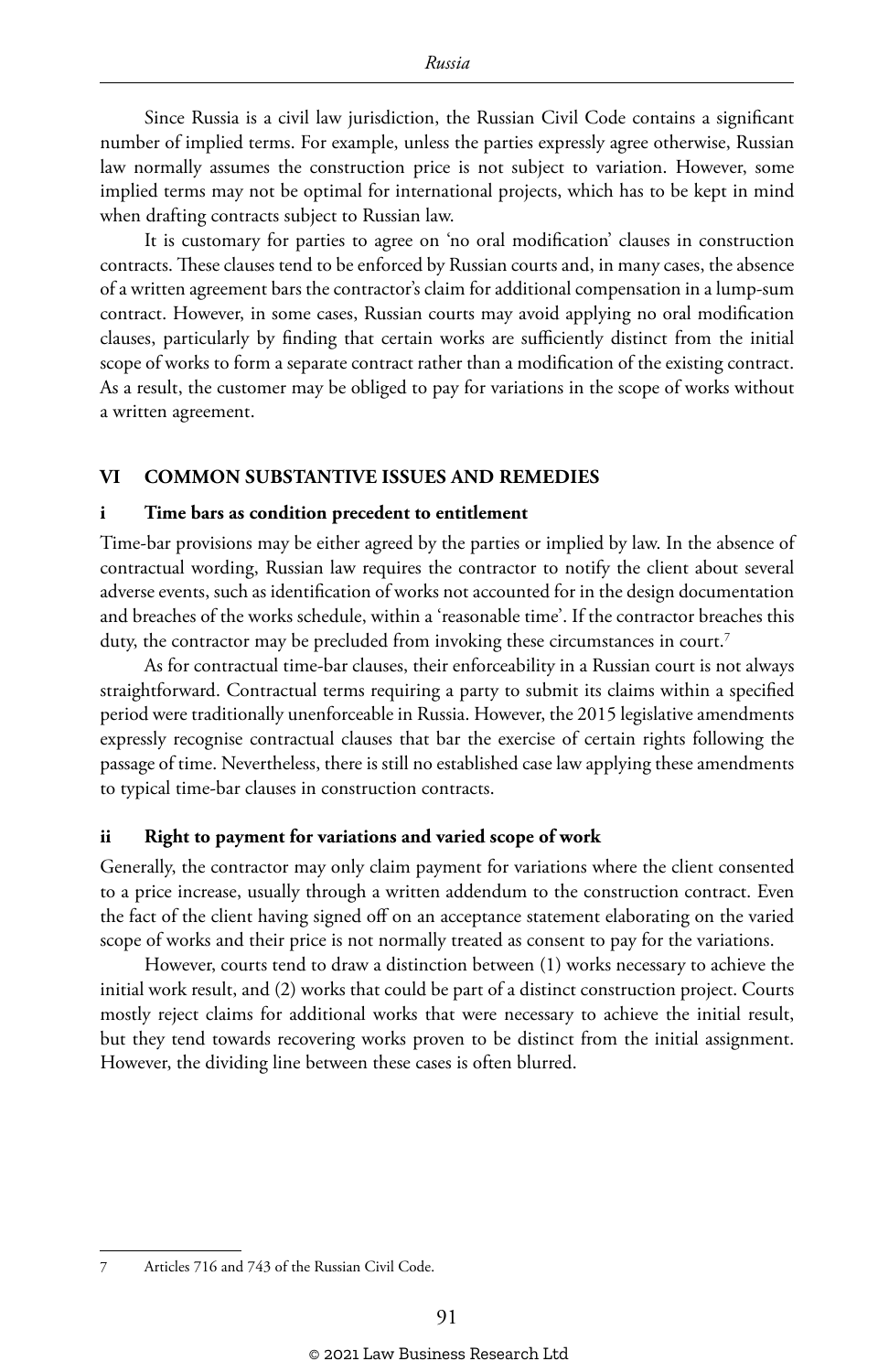Since Russia is a civil law jurisdiction, the Russian Civil Code contains a significant number of implied terms. For example, unless the parties expressly agree otherwise, Russian law normally assumes the construction price is not subject to variation. However, some implied terms may not be optimal for international projects, which has to be kept in mind when drafting contracts subject to Russian law.

It is customary for parties to agree on 'no oral modification' clauses in construction contracts. These clauses tend to be enforced by Russian courts and, in many cases, the absence of a written agreement bars the contractor's claim for additional compensation in a lump-sum contract. However, in some cases, Russian courts may avoid applying no oral modification clauses, particularly by finding that certain works are sufficiently distinct from the initial scope of works to form a separate contract rather than a modification of the existing contract. As a result, the customer may be obliged to pay for variations in the scope of works without a written agreement.

#### **VI COMMON SUBSTANTIVE ISSUES AND REMEDIES**

#### **i Time bars as condition precedent to entitlement**

Time-bar provisions may be either agreed by the parties or implied by law. In the absence of contractual wording, Russian law requires the contractor to notify the client about several adverse events, such as identification of works not accounted for in the design documentation and breaches of the works schedule, within a 'reasonable time'. If the contractor breaches this duty, the contractor may be precluded from invoking these circumstances in court.<sup>7</sup>

As for contractual time-bar clauses, their enforceability in a Russian court is not always straightforward. Contractual terms requiring a party to submit its claims within a specified period were traditionally unenforceable in Russia. However, the 2015 legislative amendments expressly recognise contractual clauses that bar the exercise of certain rights following the passage of time. Nevertheless, there is still no established case law applying these amendments to typical time-bar clauses in construction contracts.

#### **ii Right to payment for variations and varied scope of work**

Generally, the contractor may only claim payment for variations where the client consented to a price increase, usually through a written addendum to the construction contract. Even the fact of the client having signed off on an acceptance statement elaborating on the varied scope of works and their price is not normally treated as consent to pay for the variations.

However, courts tend to draw a distinction between (1) works necessary to achieve the initial work result, and (2) works that could be part of a distinct construction project. Courts mostly reject claims for additional works that were necessary to achieve the initial result, but they tend towards recovering works proven to be distinct from the initial assignment. However, the dividing line between these cases is often blurred.

<sup>7</sup> Articles 716 and 743 of the Russian Civil Code.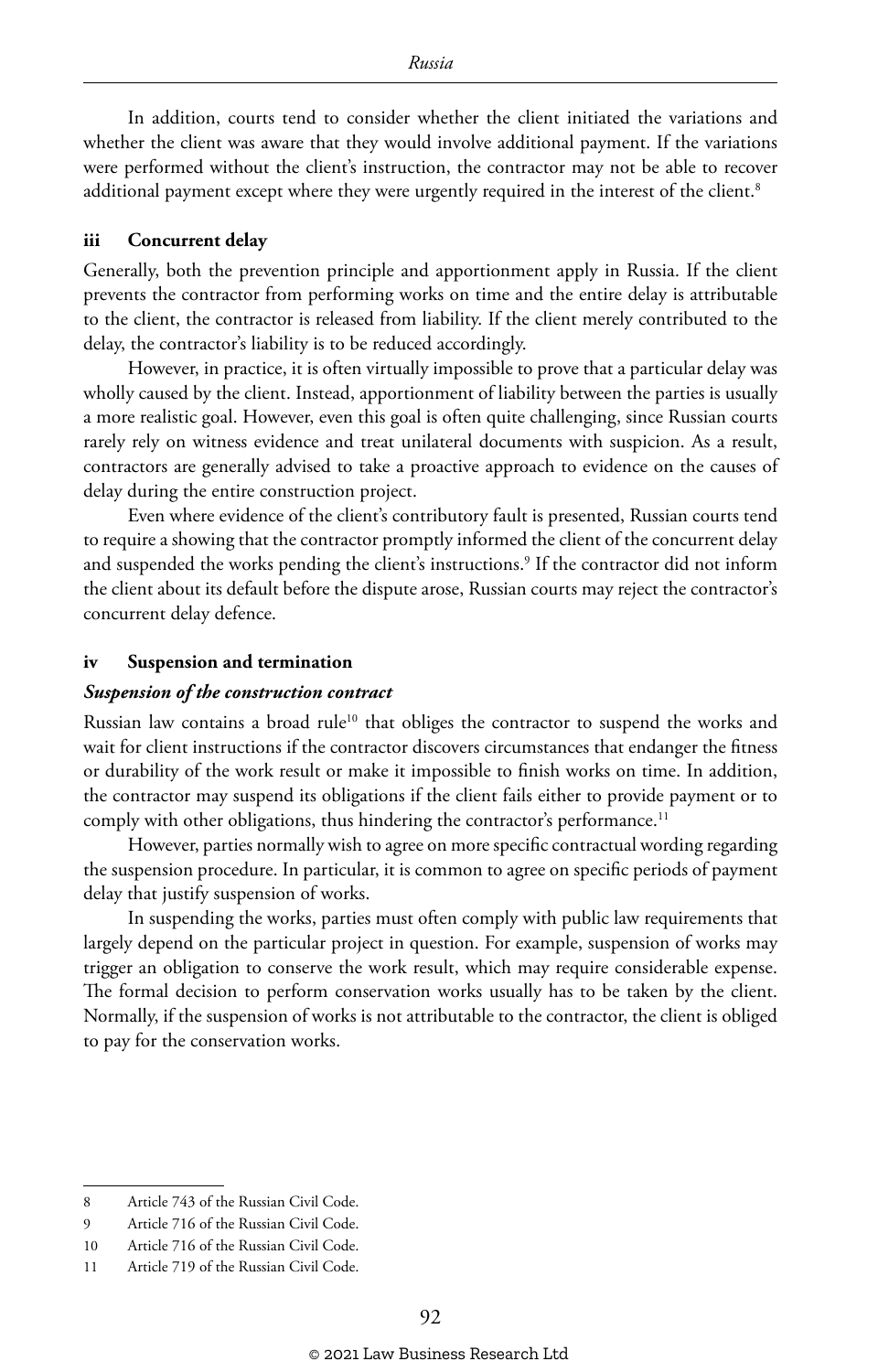In addition, courts tend to consider whether the client initiated the variations and whether the client was aware that they would involve additional payment. If the variations were performed without the client's instruction, the contractor may not be able to recover additional payment except where they were urgently required in the interest of the client.<sup>8</sup>

#### **iii Concurrent delay**

Generally, both the prevention principle and apportionment apply in Russia. If the client prevents the contractor from performing works on time and the entire delay is attributable to the client, the contractor is released from liability. If the client merely contributed to the delay, the contractor's liability is to be reduced accordingly.

However, in practice, it is often virtually impossible to prove that a particular delay was wholly caused by the client. Instead, apportionment of liability between the parties is usually a more realistic goal. However, even this goal is often quite challenging, since Russian courts rarely rely on witness evidence and treat unilateral documents with suspicion. As a result, contractors are generally advised to take a proactive approach to evidence on the causes of delay during the entire construction project.

Even where evidence of the client's contributory fault is presented, Russian courts tend to require a showing that the contractor promptly informed the client of the concurrent delay and suspended the works pending the client's instructions.<sup>9</sup> If the contractor did not inform the client about its default before the dispute arose, Russian courts may reject the contractor's concurrent delay defence.

#### **iv Suspension and termination**

#### *Suspension of the construction contract*

Russian law contains a broad rule<sup>10</sup> that obliges the contractor to suspend the works and wait for client instructions if the contractor discovers circumstances that endanger the fitness or durability of the work result or make it impossible to finish works on time. In addition, the contractor may suspend its obligations if the client fails either to provide payment or to comply with other obligations, thus hindering the contractor's performance.<sup>11</sup>

However, parties normally wish to agree on more specific contractual wording regarding the suspension procedure. In particular, it is common to agree on specific periods of payment delay that justify suspension of works.

In suspending the works, parties must often comply with public law requirements that largely depend on the particular project in question. For example, suspension of works may trigger an obligation to conserve the work result, which may require considerable expense. The formal decision to perform conservation works usually has to be taken by the client. Normally, if the suspension of works is not attributable to the contractor, the client is obliged to pay for the conservation works.

<sup>8</sup> Article 743 of the Russian Civil Code.

<sup>9</sup> Article 716 of the Russian Civil Code.

<sup>10</sup> Article 716 of the Russian Civil Code.

<sup>11</sup> Article 719 of the Russian Civil Code.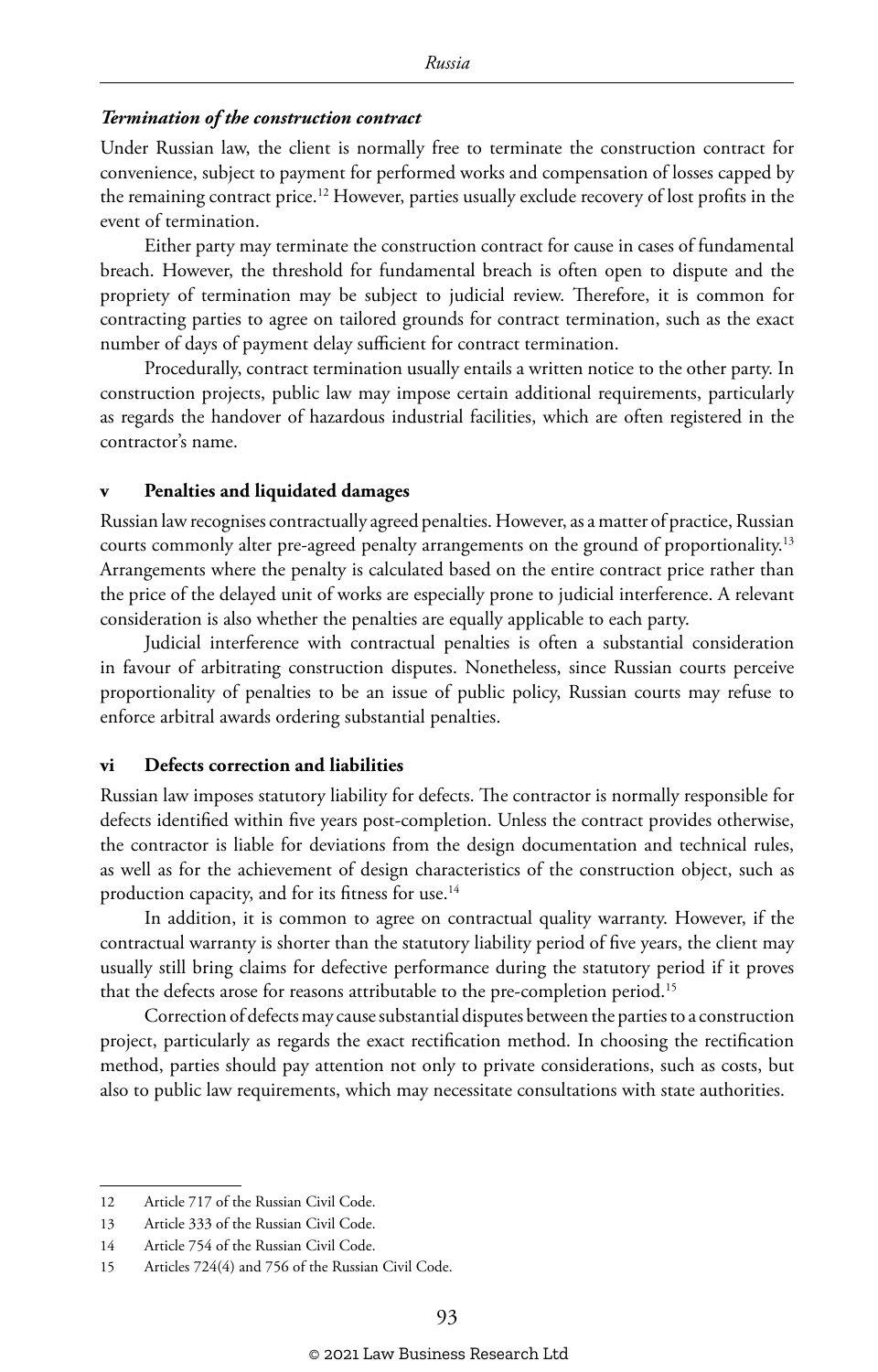#### *Termination of the construction contract*

Under Russian law, the client is normally free to terminate the construction contract for convenience, subject to payment for performed works and compensation of losses capped by the remaining contract price.<sup>12</sup> However, parties usually exclude recovery of lost profits in the event of termination.

Either party may terminate the construction contract for cause in cases of fundamental breach. However, the threshold for fundamental breach is often open to dispute and the propriety of termination may be subject to judicial review. Therefore, it is common for contracting parties to agree on tailored grounds for contract termination, such as the exact number of days of payment delay sufficient for contract termination.

Procedurally, contract termination usually entails a written notice to the other party. In construction projects, public law may impose certain additional requirements, particularly as regards the handover of hazardous industrial facilities, which are often registered in the contractor's name.

#### **v Penalties and liquidated damages**

Russian law recognises contractually agreed penalties. However, as a matter of practice, Russian courts commonly alter pre-agreed penalty arrangements on the ground of proportionality.<sup>13</sup> Arrangements where the penalty is calculated based on the entire contract price rather than the price of the delayed unit of works are especially prone to judicial interference. A relevant consideration is also whether the penalties are equally applicable to each party.

Judicial interference with contractual penalties is often a substantial consideration in favour of arbitrating construction disputes. Nonetheless, since Russian courts perceive proportionality of penalties to be an issue of public policy, Russian courts may refuse to enforce arbitral awards ordering substantial penalties.

#### **vi Defects correction and liabilities**

Russian law imposes statutory liability for defects. The contractor is normally responsible for defects identified within five years post-completion. Unless the contract provides otherwise, the contractor is liable for deviations from the design documentation and technical rules, as well as for the achievement of design characteristics of the construction object, such as production capacity, and for its fitness for use.<sup>14</sup>

In addition, it is common to agree on contractual quality warranty. However, if the contractual warranty is shorter than the statutory liability period of five years, the client may usually still bring claims for defective performance during the statutory period if it proves that the defects arose for reasons attributable to the pre-completion period.<sup>15</sup>

Correction of defects may cause substantial disputes between the parties to a construction project, particularly as regards the exact rectification method. In choosing the rectification method, parties should pay attention not only to private considerations, such as costs, but also to public law requirements, which may necessitate consultations with state authorities.

<sup>12</sup> Article 717 of the Russian Civil Code.

<sup>13</sup> Article 333 of the Russian Civil Code.

<sup>14</sup> Article 754 of the Russian Civil Code.

<sup>15</sup> Articles 724(4) and 756 of the Russian Civil Code.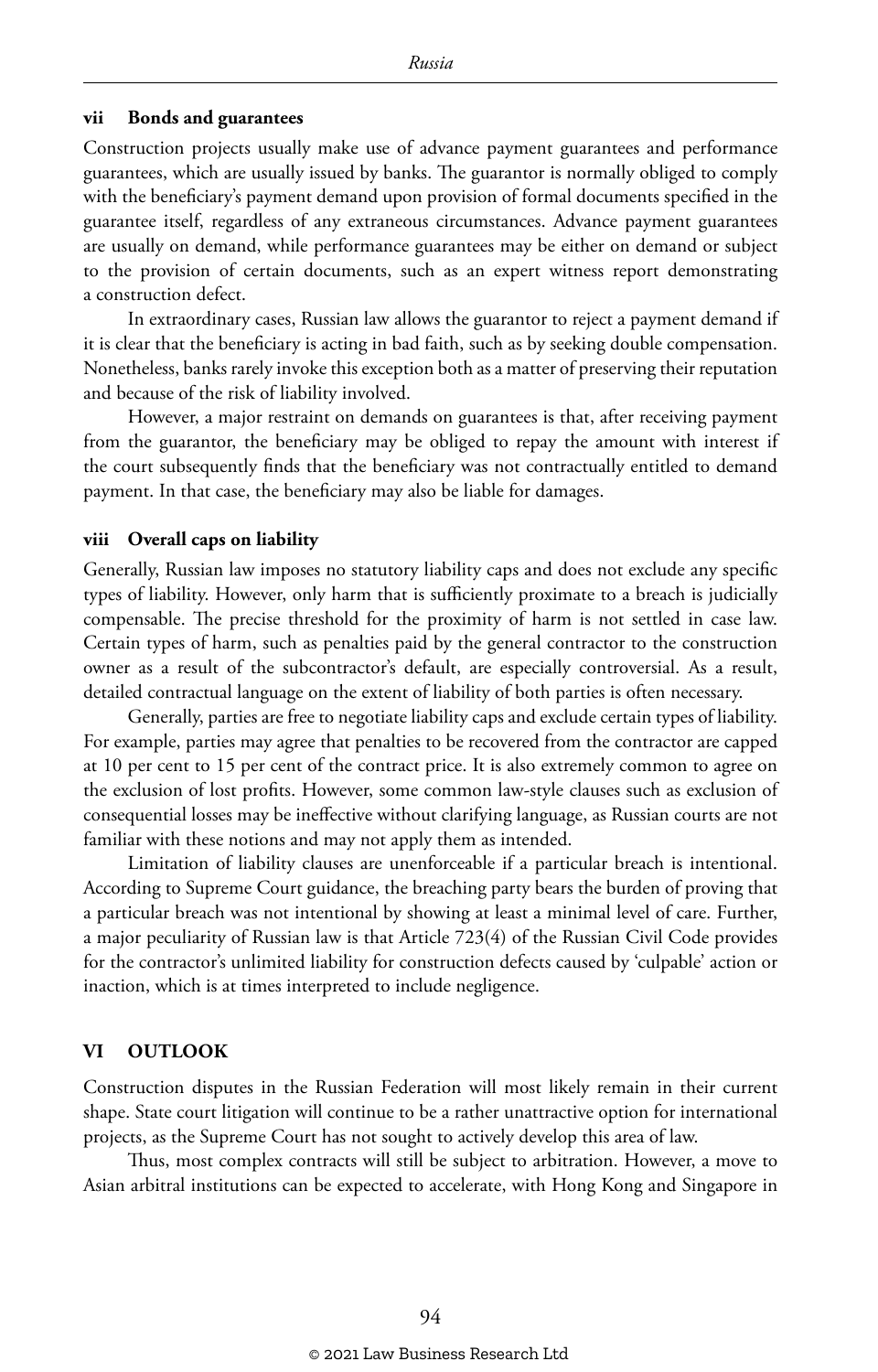#### **vii Bonds and guarantees**

Construction projects usually make use of advance payment guarantees and performance guarantees, which are usually issued by banks. The guarantor is normally obliged to comply with the beneficiary's payment demand upon provision of formal documents specified in the guarantee itself, regardless of any extraneous circumstances. Advance payment guarantees are usually on demand, while performance guarantees may be either on demand or subject to the provision of certain documents, such as an expert witness report demonstrating a construction defect.

In extraordinary cases, Russian law allows the guarantor to reject a payment demand if it is clear that the beneficiary is acting in bad faith, such as by seeking double compensation. Nonetheless, banks rarely invoke this exception both as a matter of preserving their reputation and because of the risk of liability involved.

However, a major restraint on demands on guarantees is that, after receiving payment from the guarantor, the beneficiary may be obliged to repay the amount with interest if the court subsequently finds that the beneficiary was not contractually entitled to demand payment. In that case, the beneficiary may also be liable for damages.

#### **viii Overall caps on liability**

Generally, Russian law imposes no statutory liability caps and does not exclude any specific types of liability. However, only harm that is sufficiently proximate to a breach is judicially compensable. The precise threshold for the proximity of harm is not settled in case law. Certain types of harm, such as penalties paid by the general contractor to the construction owner as a result of the subcontractor's default, are especially controversial. As a result, detailed contractual language on the extent of liability of both parties is often necessary.

Generally, parties are free to negotiate liability caps and exclude certain types of liability. For example, parties may agree that penalties to be recovered from the contractor are capped at 10 per cent to 15 per cent of the contract price. It is also extremely common to agree on the exclusion of lost profits. However, some common law-style clauses such as exclusion of consequential losses may be ineffective without clarifying language, as Russian courts are not familiar with these notions and may not apply them as intended.

Limitation of liability clauses are unenforceable if a particular breach is intentional. According to Supreme Court guidance, the breaching party bears the burden of proving that a particular breach was not intentional by showing at least a minimal level of care. Further, a major peculiarity of Russian law is that Article 723(4) of the Russian Civil Code provides for the contractor's unlimited liability for construction defects caused by 'culpable' action or inaction, which is at times interpreted to include negligence.

#### **VI OUTLOOK**

Construction disputes in the Russian Federation will most likely remain in their current shape. State court litigation will continue to be a rather unattractive option for international projects, as the Supreme Court has not sought to actively develop this area of law.

Thus, most complex contracts will still be subject to arbitration. However, a move to Asian arbitral institutions can be expected to accelerate, with Hong Kong and Singapore in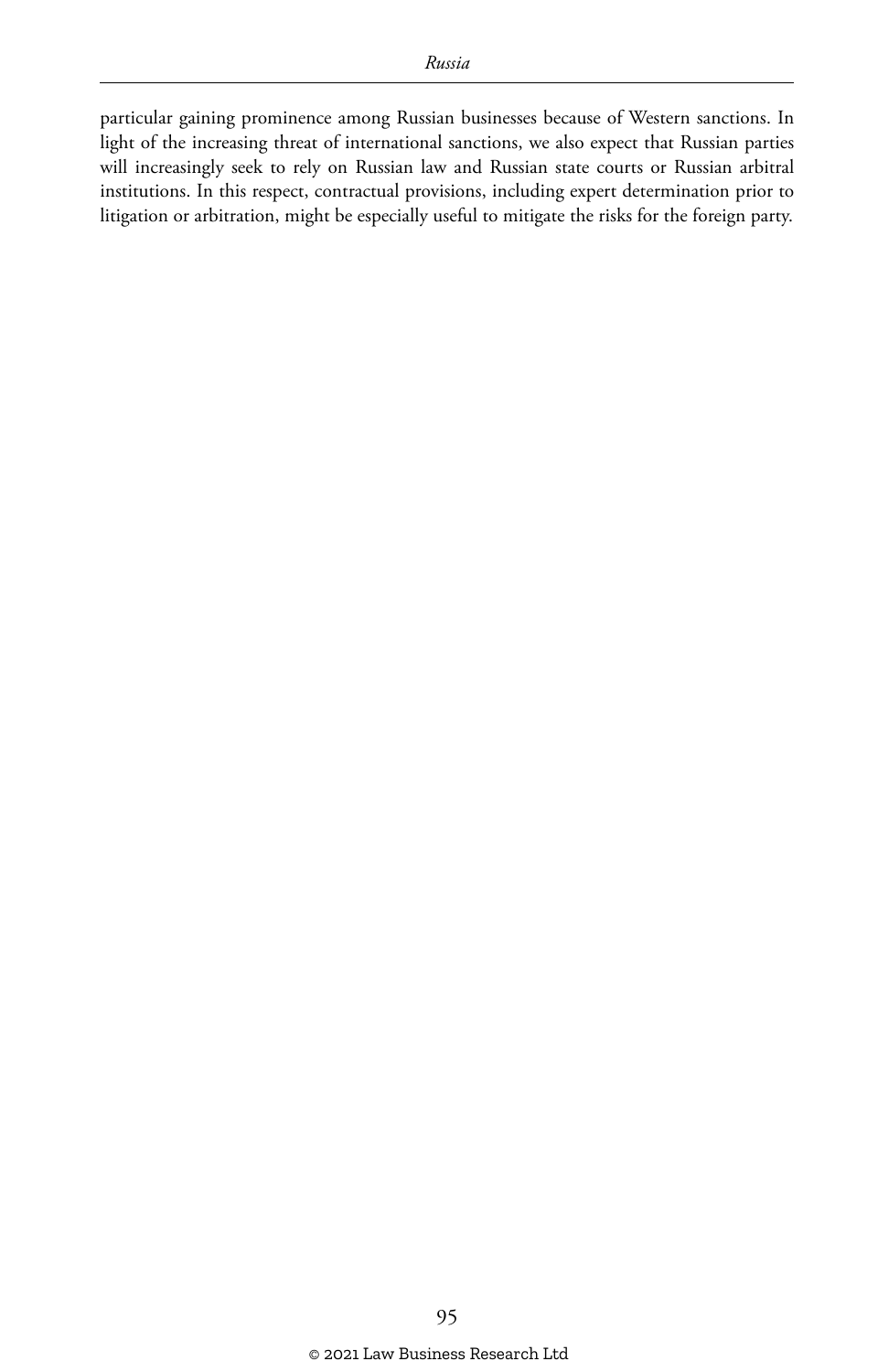particular gaining prominence among Russian businesses because of Western sanctions. In light of the increasing threat of international sanctions, we also expect that Russian parties will increasingly seek to rely on Russian law and Russian state courts or Russian arbitral institutions. In this respect, contractual provisions, including expert determination prior to litigation or arbitration, might be especially useful to mitigate the risks for the foreign party.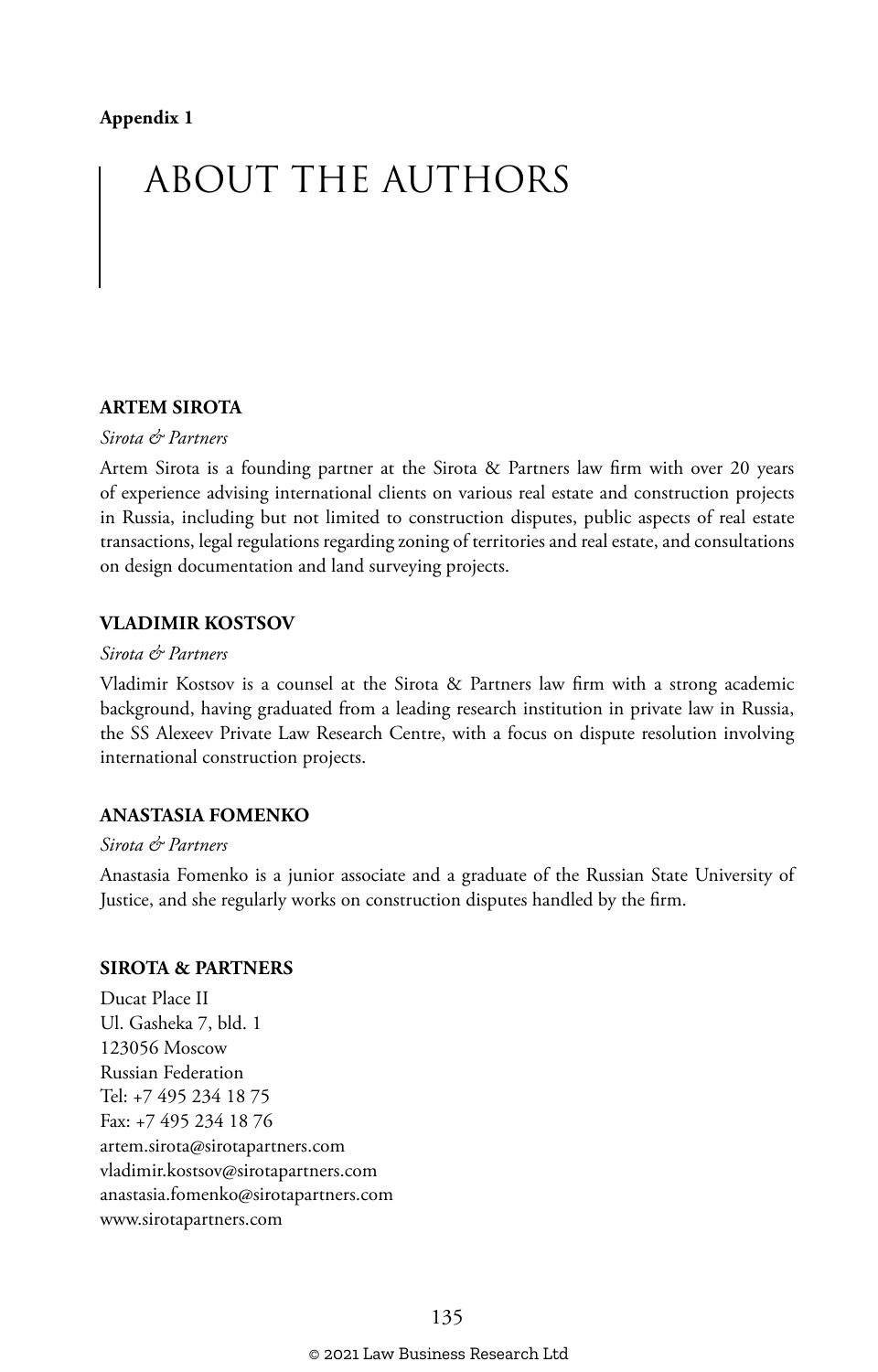# ABOUT THE AUTHORS

#### **ARTEM SIROTA**

#### *Sirota & Partners*

Artem Sirota is a founding partner at the Sirota & Partners law firm with over 20 years of experience advising international clients on various real estate and construction projects in Russia, including but not limited to construction disputes, public aspects of real estate transactions, legal regulations regarding zoning of territories and real estate, and consultations on design documentation and land surveying projects.

#### **VLADIMIR KOSTSOV**

#### *Sirota & Partners*

Vladimir Kostsov is a counsel at the Sirota & Partners law firm with a strong academic background, having graduated from a leading research institution in private law in Russia, the SS Alexeev Private Law Research Centre, with a focus on dispute resolution involving international construction projects.

#### **ANASTASIA FOMENKO**

#### *Sirota & Partners*

Anastasia Fomenko is a junior associate and a graduate of the Russian State University of Justice, and she regularly works on construction disputes handled by the firm.

#### **SIROTA & PARTNERS**

Ducat Place II Ul. Gasheka 7, bld. 1 123056 Moscow Russian Federation Tel: +7 495 234 18 75 Fax: +7 495 234 18 76 artem.sirota@sirotapartners.com vladimir.kostsov@sirotapartners.com anastasia.fomenko@sirotapartners.com www.sirotapartners.com